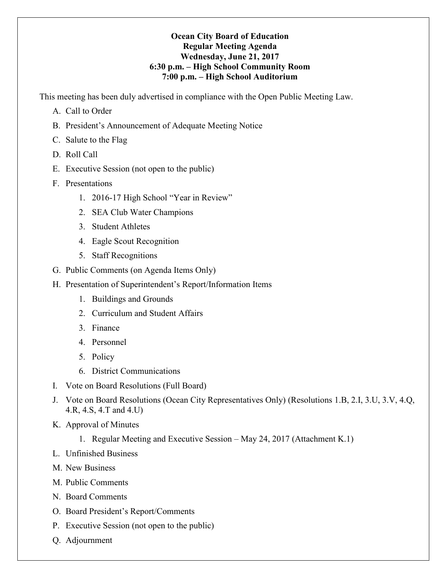### **Ocean City Board of Education Regular Meeting Agenda Wednesday, June 21, 2017 6:30 p.m. – High School Community Room 7:00 p.m. – High School Auditorium**

This meeting has been duly advertised in compliance with the Open Public Meeting Law.

- A. Call to Order
- B. President's Announcement of Adequate Meeting Notice
- C. Salute to the Flag
- D. Roll Call
- E. Executive Session (not open to the public)
- F. Presentations
	- 1. 2016-17 High School "Year in Review"
	- 2. SEA Club Water Champions
	- 3. Student Athletes
	- 4. Eagle Scout Recognition
	- 5. Staff Recognitions
- G. Public Comments (on Agenda Items Only)
- H. Presentation of Superintendent's Report/Information Items
	- 1. Buildings and Grounds
	- 2. Curriculum and Student Affairs
	- 3. Finance
	- 4. Personnel
	- 5. Policy
	- 6. District Communications
- I. Vote on Board Resolutions (Full Board)
- J. Vote on Board Resolutions (Ocean City Representatives Only) (Resolutions 1.B, 2.I, 3.U, 3.V, 4.Q, 4.R, 4.S, 4.T and 4.U)
- K. Approval of Minutes
	- 1. Regular Meeting and Executive Session May 24, 2017 (Attachment K.1)
- L. Unfinished Business
- M. New Business
- M. Public Comments
- N. Board Comments
- O. Board President's Report/Comments
- P. Executive Session (not open to the public)
- Q. Adjournment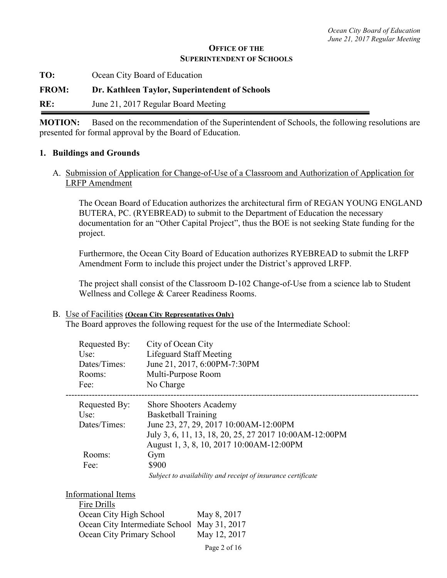### **OFFICE OF THE SUPERINTENDENT OF SCHOOLS**

**TO:** Ocean City Board of Education

**FROM: Dr. Kathleen Taylor, Superintendent of Schools** 

**RE:** June 21, 2017 Regular Board Meeting

**MOTION:** Based on the recommendation of the Superintendent of Schools, the following resolutions are presented for formal approval by the Board of Education.

#### **1. Buildings and Grounds**

A. Submission of Application for Change-of-Use of a Classroom and Authorization of Application for LRFP Amendment

The Ocean Board of Education authorizes the architectural firm of REGAN YOUNG ENGLAND BUTERA, PC. (RYEBREAD) to submit to the Department of Education the necessary documentation for an "Other Capital Project", thus the BOE is not seeking State funding for the project.

Furthermore, the Ocean City Board of Education authorizes RYEBREAD to submit the LRFP Amendment Form to include this project under the District's approved LRFP.

The project shall consist of the Classroom D-102 Change-of-Use from a science lab to Student Wellness and College & Career Readiness Rooms.

#### B. Use of Facilities **(Ocean City Representatives Only)**

The Board approves the following request for the use of the Intermediate School:

| Requested By:<br>Use:<br>Dates/Times:<br>Rooms:<br>Fee: | City of Ocean City<br><b>Lifeguard Staff Meeting</b><br>June 21, 2017, 6:00PM-7:30PM<br>Multi-Purpose Room<br>No Charge |
|---------------------------------------------------------|-------------------------------------------------------------------------------------------------------------------------|
| Requested By:                                           | <b>Shore Shooters Academy</b>                                                                                           |
| $Use^{\cdot}$                                           | <b>Basketball Training</b>                                                                                              |
| Dates/Times:                                            | June 23, 27, 29, 2017 10:00 AM-12:00 PM                                                                                 |
|                                                         | July 3, 6, 11, 13, 18, 20, 25, 27 2017 10:00 AM-12:00 PM                                                                |
|                                                         | August 1, 3, 8, 10, 2017 10:00 AM-12:00 PM                                                                              |
| Rooms:                                                  | Gym                                                                                                                     |
| Fee:                                                    | \$900                                                                                                                   |
|                                                         | Subject to availability and receipt of insurance certificate                                                            |

| Informational Items                         |              |
|---------------------------------------------|--------------|
| Fire Drills                                 |              |
| Ocean City High School                      | May 8, 2017  |
| Ocean City Intermediate School May 31, 2017 |              |
| Ocean City Primary School                   | May 12, 2017 |
|                                             |              |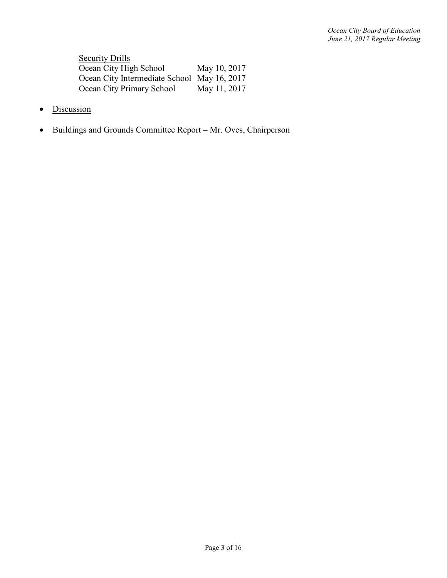**Security Drills** Ocean City High School May 10, 2017 Ocean City Intermediate School May 16, 2017<br>Ocean City Primary School May 11, 2017 Ocean City Primary School

- Discussion
- Buildings and Grounds Committee Report Mr. Oves, Chairperson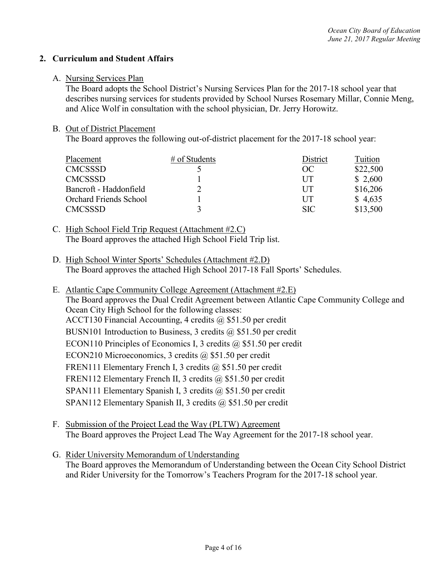### **2. Curriculum and Student Affairs**

#### A. Nursing Services Plan

The Board adopts the School District's Nursing Services Plan for the 2017-18 school year that describes nursing services for students provided by School Nurses Rosemary Millar, Connie Meng, and Alice Wolf in consultation with the school physician, Dr. Jerry Horowitz.

### B. Out of District Placement

The Board approves the following out-of-district placement for the 2017-18 school year:

| Placement                     | $#$ of Students | District   | Tuition  |
|-------------------------------|-----------------|------------|----------|
| <b>CMCSSSD</b>                |                 | OC         | \$22,500 |
| <b>CMCSSSD</b>                |                 | UT         | \$2,600  |
| Bancroft - Haddonfield        |                 | UT         | \$16,206 |
| <b>Orchard Friends School</b> |                 | UT         | \$4,635  |
| <b>CMCSSSD</b>                |                 | <b>SIC</b> | \$13,500 |

- C. High School Field Trip Request (Attachment #2.C) The Board approves the attached High School Field Trip list.
- D. High School Winter Sports' Schedules (Attachment #2.D) The Board approves the attached High School 2017-18 Fall Sports' Schedules.
- E. Atlantic Cape Community College Agreement (Attachment #2.E) The Board approves the Dual Credit Agreement between Atlantic Cape Community College and Ocean City High School for the following classes: ACCT130 Financial Accounting, 4 credits @ \$51.50 per credit BUSN101 Introduction to Business, 3 credits  $\omega$  \$51.50 per credit ECON110 Principles of Economics I, 3 credits @ \$51.50 per credit ECON210 Microeconomics, 3 credits @ \$51.50 per credit FREN111 Elementary French I, 3 credits @ \$51.50 per credit FREN112 Elementary French II, 3 credits @ \$51.50 per credit SPAN111 Elementary Spanish I, 3 credits @ \$51.50 per credit SPAN112 Elementary Spanish II, 3 credits @ \$51.50 per credit
- F. Submission of the Project Lead the Way (PLTW) Agreement The Board approves the Project Lead The Way Agreement for the 2017-18 school year.
- G. Rider University Memorandum of Understanding The Board approves the Memorandum of Understanding between the Ocean City School District and Rider University for the Tomorrow's Teachers Program for the 2017-18 school year.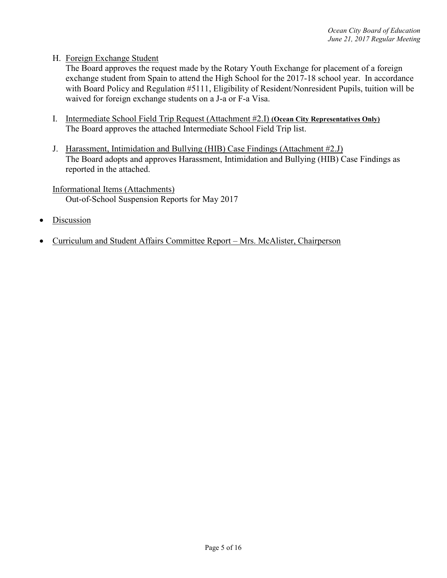# H. Foreign Exchange Student

The Board approves the request made by the Rotary Youth Exchange for placement of a foreign exchange student from Spain to attend the High School for the 2017-18 school year. In accordance with Board Policy and Regulation #5111, Eligibility of Resident/Nonresident Pupils, tuition will be waived for foreign exchange students on a J-a or F-a Visa.

- I. Intermediate School Field Trip Request (Attachment #2.I) **(Ocean City Representatives Only)** The Board approves the attached Intermediate School Field Trip list.
- J. Harassment, Intimidation and Bullying (HIB) Case Findings (Attachment #2.J) The Board adopts and approves Harassment, Intimidation and Bullying (HIB) Case Findings as reported in the attached.

Informational Items (Attachments) Out-of-School Suspension Reports for May 2017

- **Discussion**
- Curriculum and Student Affairs Committee Report Mrs. McAlister, Chairperson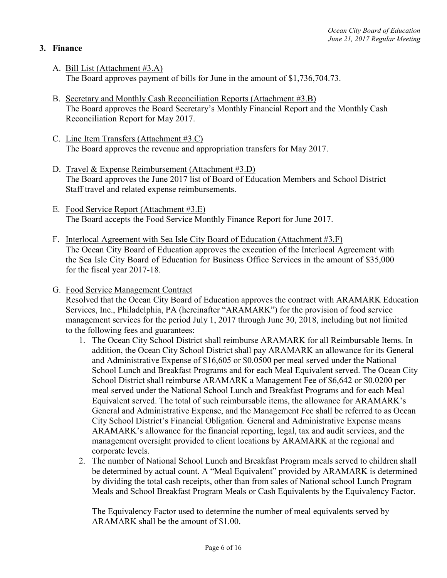# **3. Finance**

- A. Bill List (Attachment #3.A) The Board approves payment of bills for June in the amount of \$1,736,704.73.
- B. Secretary and Monthly Cash Reconciliation Reports (Attachment #3.B) The Board approves the Board Secretary's Monthly Financial Report and the Monthly Cash Reconciliation Report for May 2017.
- C. Line Item Transfers (Attachment #3.C) The Board approves the revenue and appropriation transfers for May 2017.
- D. Travel & Expense Reimbursement (Attachment #3.D) The Board approves the June 2017 list of Board of Education Members and School District Staff travel and related expense reimbursements.
- E. Food Service Report (Attachment #3.E) The Board accepts the Food Service Monthly Finance Report for June 2017.
- F. Interlocal Agreement with Sea Isle City Board of Education (Attachment #3.F) The Ocean City Board of Education approves the execution of the Interlocal Agreement with the Sea Isle City Board of Education for Business Office Services in the amount of \$35,000 for the fiscal year 2017-18.
- G. Food Service Management Contract

 Resolved that the Ocean City Board of Education approves the contract with ARAMARK Education Services, Inc., Philadelphia, PA (hereinafter "ARAMARK") for the provision of food service management services for the period July 1, 2017 through June 30, 2018, including but not limited to the following fees and guarantees:

- 1. The Ocean City School District shall reimburse ARAMARK for all Reimbursable Items. In addition, the Ocean City School District shall pay ARAMARK an allowance for its General and Administrative Expense of \$16,605 or \$0.0500 per meal served under the National School Lunch and Breakfast Programs and for each Meal Equivalent served. The Ocean City School District shall reimburse ARAMARK a Management Fee of \$6,642 or \$0.0200 per meal served under the National School Lunch and Breakfast Programs and for each Meal Equivalent served. The total of such reimbursable items, the allowance for ARAMARK's General and Administrative Expense, and the Management Fee shall be referred to as Ocean City School District's Financial Obligation. General and Administrative Expense means ARAMARK's allowance for the financial reporting, legal, tax and audit services, and the management oversight provided to client locations by ARAMARK at the regional and corporate levels.
- 2. The number of National School Lunch and Breakfast Program meals served to children shall be determined by actual count. A "Meal Equivalent" provided by ARAMARK is determined by dividing the total cash receipts, other than from sales of National school Lunch Program Meals and School Breakfast Program Meals or Cash Equivalents by the Equivalency Factor.

The Equivalency Factor used to determine the number of meal equivalents served by ARAMARK shall be the amount of \$1.00.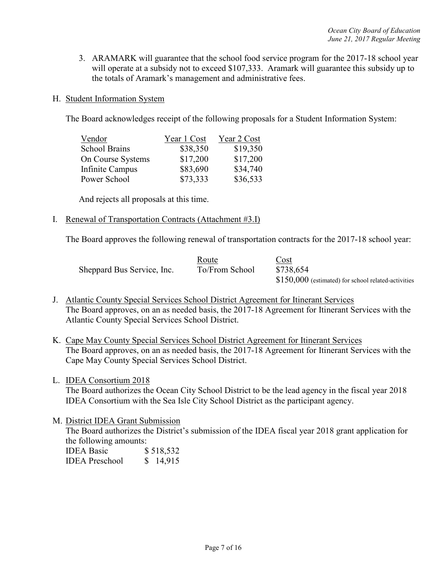- 3. ARAMARK will guarantee that the school food service program for the 2017-18 school year will operate at a subsidy not to exceed \$107,333. Aramark will guarantee this subsidy up to the totals of Aramark's management and administrative fees.
- H. Student Information System

The Board acknowledges receipt of the following proposals for a Student Information System:

| Vendor               | Year 1 Cost | Year 2 Cost |
|----------------------|-------------|-------------|
| <b>School Brains</b> | \$38,350    | \$19,350    |
| On Course Systems    | \$17,200    | \$17,200    |
| Infinite Campus      | \$83,690    | \$34,740    |
| Power School         | \$73,333    | \$36,533    |

And rejects all proposals at this time.

I. Renewal of Transportation Contracts (Attachment #3.I)

The Board approves the following renewal of transportation contracts for the 2017-18 school year:

|                            | Route          | Cost                                                |
|----------------------------|----------------|-----------------------------------------------------|
| Sheppard Bus Service, Inc. | To/From School | \$738,654                                           |
|                            |                | \$150,000 (estimated) for school related-activities |

- J. Atlantic County Special Services School District Agreement for Itinerant Services The Board approves, on an as needed basis, the 2017-18 Agreement for Itinerant Services with the Atlantic County Special Services School District.
- K. Cape May County Special Services School District Agreement for Itinerant Services The Board approves, on an as needed basis, the 2017-18 Agreement for Itinerant Services with the Cape May County Special Services School District.
- L. IDEA Consortium 2018

The Board authorizes the Ocean City School District to be the lead agency in the fiscal year 2018 IDEA Consortium with the Sea Isle City School District as the participant agency.

M. District IDEA Grant Submission

The Board authorizes the District's submission of the IDEA fiscal year 2018 grant application for the following amounts:

| <b>IDEA Basic</b>     | \$518,532 |
|-----------------------|-----------|
| <b>IDEA</b> Preschool | \$14,915  |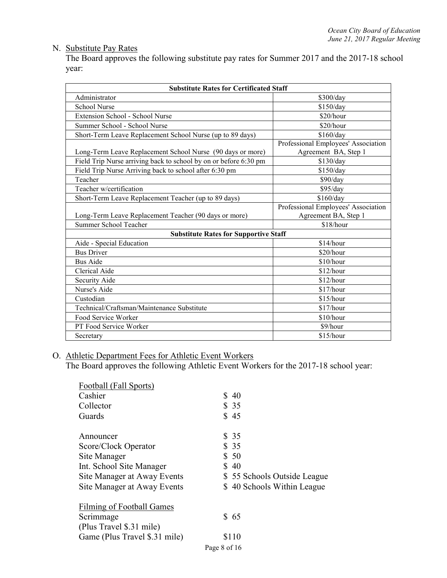# N. Substitute Pay Rates

The Board approves the following substitute pay rates for Summer 2017 and the 2017-18 school year:

| <b>Substitute Rates for Certificated Staff</b>                   |                                                             |  |  |
|------------------------------------------------------------------|-------------------------------------------------------------|--|--|
| Administrator                                                    | \$300/day                                                   |  |  |
| <b>School Nurse</b>                                              | \$150/day                                                   |  |  |
| Extension School - School Nurse                                  | \$20/hour                                                   |  |  |
| Summer School - School Nurse                                     | \$20/hour                                                   |  |  |
| Short-Term Leave Replacement School Nurse (up to 89 days)        | \$160/day                                                   |  |  |
| Long-Term Leave Replacement School Nurse (90 days or more)       | Professional Employees' Association<br>Agreement BA, Step 1 |  |  |
| Field Trip Nurse arriving back to school by on or before 6:30 pm | \$130/day                                                   |  |  |
| Field Trip Nurse Arriving back to school after 6:30 pm           | \$150/day                                                   |  |  |
| Teacher                                                          | \$90/day                                                    |  |  |
| Teacher w/certification                                          | \$95/day                                                    |  |  |
| Short-Term Leave Replacement Teacher (up to 89 days)             | \$160/day                                                   |  |  |
|                                                                  | Professional Employees' Association                         |  |  |
| Long-Term Leave Replacement Teacher (90 days or more)            | Agreement BA, Step 1                                        |  |  |
| Summer School Teacher                                            | \$18/hour                                                   |  |  |
| <b>Substitute Rates for Supportive Staff</b>                     |                                                             |  |  |
| Aide - Special Education                                         | \$14/hour                                                   |  |  |
| <b>Bus Driver</b>                                                | \$20/hour                                                   |  |  |
| <b>Bus Aide</b>                                                  | $$10/h$ our                                                 |  |  |
| Clerical Aide                                                    | \$12/hour                                                   |  |  |
| Security Aide                                                    | \$12/hour                                                   |  |  |
| Nurse's Aide                                                     | \$17/hour                                                   |  |  |
| Custodian                                                        | \$15/hour                                                   |  |  |
| Technical/Craftsman/Maintenance Substitute                       | \$17/hour                                                   |  |  |
| Food Service Worker                                              | \$10/hour                                                   |  |  |
| PT Food Service Worker                                           | \$9/hour                                                    |  |  |
| Secretary                                                        | \$15/hour                                                   |  |  |

O. Athletic Department Fees for Athletic Event Workers

The Board approves the following Athletic Event Workers for the 2017-18 school year:

| Football (Fall Sports)           |                             |
|----------------------------------|-----------------------------|
| Cashier                          | \$40                        |
| Collector                        | \$35                        |
| Guards                           | \$45                        |
| Announcer                        | \$ 35                       |
| Score/Clock Operator             | \$35                        |
| Site Manager                     | \$50                        |
| Int. School Site Manager         | \$40                        |
| Site Manager at Away Events      | \$55 Schools Outside League |
| Site Manager at Away Events      | \$40 Schools Within League  |
| <b>Filming of Football Games</b> |                             |
| Scrimmage                        | \$65                        |
| (Plus Travel \$.31 mile)         |                             |
| Game (Plus Travel \$.31 mile)    | \$110                       |
|                                  | Page 8 of 16                |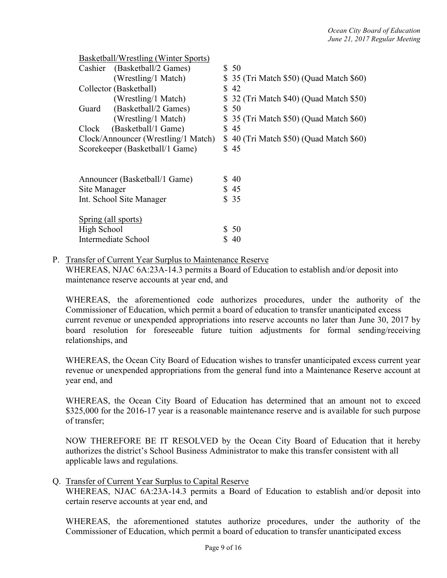|              | Basketball/Wrestling (Winter Sports) |                                          |
|--------------|--------------------------------------|------------------------------------------|
|              | Cashier (Basketball/2 Games)         | \$50                                     |
|              | (Wrestling/1 Match)                  | \$ 35 (Tri Match \$50) (Quad Match \$60) |
|              | Collector (Basketball)               | \$42                                     |
|              | (Wrestling/1 Match)                  | \$ 32 (Tri Match \$40) (Quad Match \$50) |
| Guard        | (Basketball/2 Games)                 | \$50                                     |
|              | (Wrestling/1 Match)                  | \$ 35 (Tri Match \$50) (Quad Match \$60) |
| Clock        | (Basketball/1 Game)                  | \$45                                     |
|              | Clock/Announcer (Wrestling/1 Match)  | \$40 (Tri Match \$50) (Quad Match \$60)  |
|              | Scorekeeper (Basketball/1 Game)      | \$45                                     |
|              |                                      |                                          |
|              |                                      |                                          |
|              | Announcer (Basketball/1 Game)        | \$40                                     |
| Site Manager |                                      | \$45                                     |
|              | Int. School Site Manager             | \$35                                     |
|              |                                      |                                          |
|              | Spring (all sports)                  |                                          |
| High School  |                                      | \$50                                     |
|              | Intermediate School                  | \$40                                     |
|              |                                      |                                          |

### P. Transfer of Current Year Surplus to Maintenance Reserve

WHEREAS, NJAC 6A:23A-14.3 permits a Board of Education to establish and/or deposit into maintenance reserve accounts at year end, and

WHEREAS, the aforementioned code authorizes procedures, under the authority of the Commissioner of Education, which permit a board of education to transfer unanticipated excess current revenue or unexpended appropriations into reserve accounts no later than June 30, 2017 by board resolution for foreseeable future tuition adjustments for formal sending/receiving relationships, and

WHEREAS, the Ocean City Board of Education wishes to transfer unanticipated excess current year revenue or unexpended appropriations from the general fund into a Maintenance Reserve account at year end, and

WHEREAS, the Ocean City Board of Education has determined that an amount not to exceed \$325,000 for the 2016-17 year is a reasonable maintenance reserve and is available for such purpose of transfer;

NOW THEREFORE BE IT RESOLVED by the Ocean City Board of Education that it hereby authorizes the district's School Business Administrator to make this transfer consistent with all applicable laws and regulations.

Q. Transfer of Current Year Surplus to Capital Reserve

WHEREAS, NJAC 6A:23A-14.3 permits a Board of Education to establish and/or deposit into certain reserve accounts at year end, and

WHEREAS, the aforementioned statutes authorize procedures, under the authority of the Commissioner of Education, which permit a board of education to transfer unanticipated excess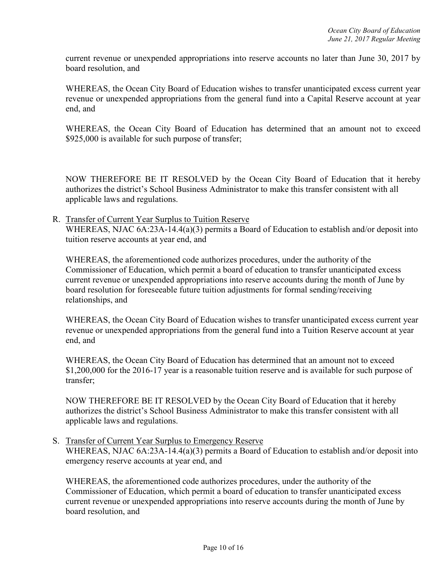current revenue or unexpended appropriations into reserve accounts no later than June 30, 2017 by board resolution, and

WHEREAS, the Ocean City Board of Education wishes to transfer unanticipated excess current year revenue or unexpended appropriations from the general fund into a Capital Reserve account at year end, and

WHEREAS, the Ocean City Board of Education has determined that an amount not to exceed \$925,000 is available for such purpose of transfer;

NOW THEREFORE BE IT RESOLVED by the Ocean City Board of Education that it hereby authorizes the district's School Business Administrator to make this transfer consistent with all applicable laws and regulations.

R. Transfer of Current Year Surplus to Tuition Reserve WHEREAS, NJAC 6A:23A-14.4(a)(3) permits a Board of Education to establish and/or deposit into tuition reserve accounts at year end, and

WHEREAS, the aforementioned code authorizes procedures, under the authority of the Commissioner of Education, which permit a board of education to transfer unanticipated excess current revenue or unexpended appropriations into reserve accounts during the month of June by board resolution for foreseeable future tuition adjustments for formal sending/receiving relationships, and

WHEREAS, the Ocean City Board of Education wishes to transfer unanticipated excess current year revenue or unexpended appropriations from the general fund into a Tuition Reserve account at year end, and

WHEREAS, the Ocean City Board of Education has determined that an amount not to exceed \$1,200,000 for the 2016-17 year is a reasonable tuition reserve and is available for such purpose of transfer;

NOW THEREFORE BE IT RESOLVED by the Ocean City Board of Education that it hereby authorizes the district's School Business Administrator to make this transfer consistent with all applicable laws and regulations.

S. Transfer of Current Year Surplus to Emergency Reserve WHEREAS, NJAC 6A:23A-14.4(a)(3) permits a Board of Education to establish and/or deposit into emergency reserve accounts at year end, and

WHEREAS, the aforementioned code authorizes procedures, under the authority of the Commissioner of Education, which permit a board of education to transfer unanticipated excess current revenue or unexpended appropriations into reserve accounts during the month of June by board resolution, and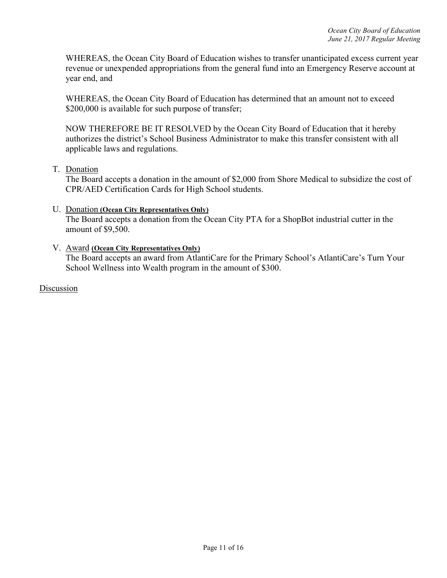WHEREAS, the Ocean City Board of Education wishes to transfer unanticipated excess current year revenue or unexpended appropriations from the general fund into an Emergency Reserve account at year end, and

WHEREAS, the Ocean City Board of Education has determined that an amount not to exceed \$200,000 is available for such purpose of transfer;

NOW THEREFORE BE IT RESOLVED by the Ocean City Board of Education that it hereby authorizes the district's School Business Administrator to make this transfer consistent with all applicable laws and regulations.

### T. Donation

The Board accepts a donation in the amount of \$2,000 from Shore Medical to subsidize the cost of CPR/AED Certification Cards for High School students.

### U. Donation **(Ocean City Representatives Only)**

The Board accepts a donation from the Ocean City PTA for a ShopBot industrial cutter in the amount of \$9,500.

## V. Award **(Ocean City Representatives Only)**  The Board accepts an award from AtlantiCare for the Primary School's AtlantiCare's Turn Your School Wellness into Wealth program in the amount of \$300.

Discussion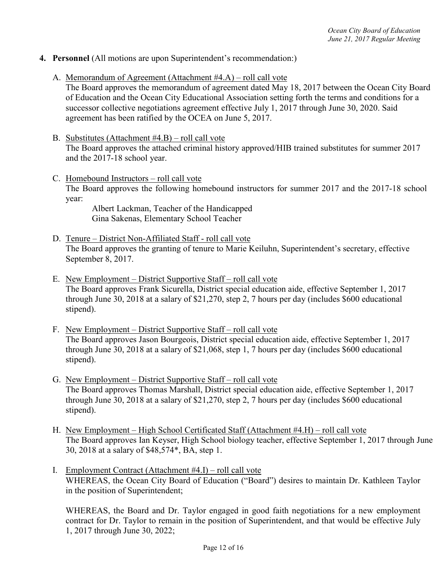- **4. Personnel** (All motions are upon Superintendent's recommendation:)
	- A. Memorandum of Agreement (Attachment #4.A) roll call vote

The Board approves the memorandum of agreement dated May 18, 2017 between the Ocean City Board of Education and the Ocean City Educational Association setting forth the terms and conditions for a successor collective negotiations agreement effective July 1, 2017 through June 30, 2020. Said agreement has been ratified by the OCEA on June 5, 2017.

- B. Substitutes (Attachment #4.B) roll call vote The Board approves the attached criminal history approved/HIB trained substitutes for summer 2017 and the 2017-18 school year.
- C. Homebound Instructors roll call vote The Board approves the following homebound instructors for summer 2017 and the 2017-18 school year:

 Albert Lackman, Teacher of the Handicapped Gina Sakenas, Elementary School Teacher

- D. Tenure District Non-Affiliated Staff roll call vote The Board approves the granting of tenure to Marie Keiluhn, Superintendent's secretary, effective September 8, 2017.
- E. New Employment District Supportive Staff roll call vote The Board approves Frank Sicurella, District special education aide, effective September 1, 2017 through June 30, 2018 at a salary of \$21,270, step 2, 7 hours per day (includes \$600 educational stipend).
- F. New Employment District Supportive Staff roll call vote The Board approves Jason Bourgeois, District special education aide, effective September 1, 2017 through June 30, 2018 at a salary of \$21,068, step 1, 7 hours per day (includes \$600 educational stipend).
- G. New Employment District Supportive Staff roll call vote The Board approves Thomas Marshall, District special education aide, effective September 1, 2017 through June 30, 2018 at a salary of \$21,270, step 2, 7 hours per day (includes \$600 educational stipend).
- H. New Employment High School Certificated Staff (Attachment #4.H) roll call vote The Board approves Ian Keyser, High School biology teacher, effective September 1, 2017 through June 30, 2018 at a salary of \$48,574\*, BA, step 1.
- I. Employment Contract (Attachment #4.I) roll call vote WHEREAS, the Ocean City Board of Education ("Board") desires to maintain Dr. Kathleen Taylor in the position of Superintendent;

WHEREAS, the Board and Dr. Taylor engaged in good faith negotiations for a new employment contract for Dr. Taylor to remain in the position of Superintendent, and that would be effective July 1, 2017 through June 30, 2022;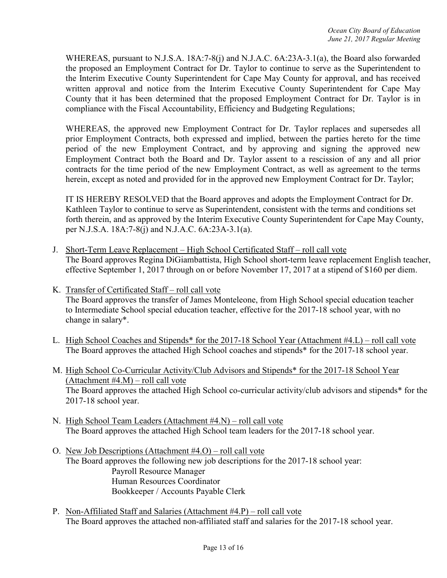WHEREAS, pursuant to N.J.S.A. 18A:7-8(j) and N.J.A.C. 6A:23A-3.1(a), the Board also forwarded the proposed an Employment Contract for Dr. Taylor to continue to serve as the Superintendent to the Interim Executive County Superintendent for Cape May County for approval, and has received written approval and notice from the Interim Executive County Superintendent for Cape May County that it has been determined that the proposed Employment Contract for Dr. Taylor is in compliance with the Fiscal Accountability, Efficiency and Budgeting Regulations;

WHEREAS, the approved new Employment Contract for Dr. Taylor replaces and supersedes all prior Employment Contracts, both expressed and implied, between the parties hereto for the time period of the new Employment Contract, and by approving and signing the approved new Employment Contract both the Board and Dr. Taylor assent to a rescission of any and all prior contracts for the time period of the new Employment Contract, as well as agreement to the terms herein, except as noted and provided for in the approved new Employment Contract for Dr. Taylor;

IT IS HEREBY RESOLVED that the Board approves and adopts the Employment Contract for Dr. Kathleen Taylor to continue to serve as Superintendent, consistent with the terms and conditions set forth therein, and as approved by the Interim Executive County Superintendent for Cape May County, per N.J.S.A. 18A:7-8(j) and N.J.A.C. 6A:23A-3.1(a).

- J. Short-Term Leave Replacement High School Certificated Staff roll call vote The Board approves Regina DiGiambattista, High School short-term leave replacement English teacher, effective September 1, 2017 through on or before November 17, 2017 at a stipend of \$160 per diem.
- K. Transfer of Certificated Staff roll call vote The Board approves the transfer of James Monteleone, from High School special education teacher to Intermediate School special education teacher, effective for the 2017-18 school year, with no change in salary\*.
- L. High School Coaches and Stipends\* for the 2017-18 School Year (Attachment #4.L) roll call vote The Board approves the attached High School coaches and stipends\* for the 2017-18 school year.
- M. High School Co-Curricular Activity/Club Advisors and Stipends\* for the 2017-18 School Year (Attachment #4.M) – roll call vote The Board approves the attached High School co-curricular activity/club advisors and stipends\* for the 2017-18 school year.
- N. High School Team Leaders (Attachment #4.N) roll call vote The Board approves the attached High School team leaders for the 2017-18 school year.
- O. New Job Descriptions (Attachment #4.O) roll call vote The Board approves the following new job descriptions for the 2017-18 school year: Payroll Resource Manager Human Resources Coordinator Bookkeeper / Accounts Payable Clerk
- P. Non-Affiliated Staff and Salaries (Attachment #4.P) roll call vote The Board approves the attached non-affiliated staff and salaries for the 2017-18 school year.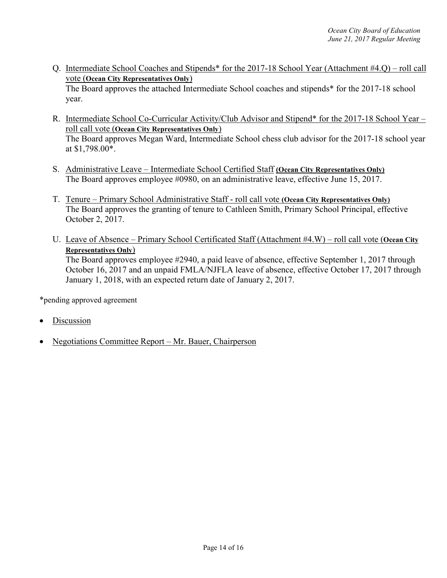Q. Intermediate School Coaches and Stipends\* for the 2017-18 School Year (Attachment #4.Q) – roll call vote (**Ocean City Representatives Only**)

The Board approves the attached Intermediate School coaches and stipends\* for the 2017-18 school year.

- R. Intermediate School Co-Curricular Activity/Club Advisor and Stipend\* for the 2017-18 School Year roll call vote (**Ocean City Representatives Only**) The Board approves Megan Ward, Intermediate School chess club advisor for the 2017-18 school year at \$1,798.00\*.
- S. Administrative Leave Intermediate School Certified Staff **(Ocean City Representatives Only)** The Board approves employee #0980, on an administrative leave, effective June 15, 2017.
- T. Tenure Primary School Administrative Staff roll call vote **(Ocean City Representatives Only)** The Board approves the granting of tenure to Cathleen Smith, Primary School Principal, effective October 2, 2017.
- U. Leave of Absence Primary School Certificated Staff (Attachment #4.W) roll call vote (**Ocean City Representatives Only**)

The Board approves employee #2940, a paid leave of absence, effective September 1, 2017 through October 16, 2017 and an unpaid FMLA/NJFLA leave of absence, effective October 17, 2017 through January 1, 2018, with an expected return date of January 2, 2017.

\*pending approved agreement

- **Discussion**
- Negotiations Committee Report Mr. Bauer, Chairperson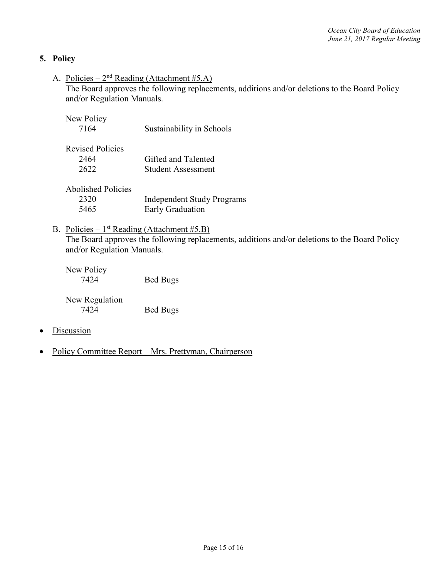# **5. Policy**

A. Policies –  $2<sup>nd</sup>$  Reading (Attachment #5.A)

The Board approves the following replacements, additions and/or deletions to the Board Policy and/or Regulation Manuals.

| New Policy<br>7164                        | Sustainability in Schools                             |
|-------------------------------------------|-------------------------------------------------------|
| <b>Revised Policies</b><br>2464<br>2622   | Gifted and Talented<br><b>Student Assessment</b>      |
| <b>Abolished Policies</b><br>2320<br>5465 | <b>Independent Study Programs</b><br>Early Graduation |

B. Policies –  $1<sup>st</sup>$  Reading (Attachment #5.B) The Board approves the following replacements, additions and/or deletions to the Board Policy and/or Regulation Manuals.

New Policy 7424 Bed Bugs

New Regulation 7424 Bed Bugs

- Discussion
- Policy Committee Report Mrs. Prettyman, Chairperson